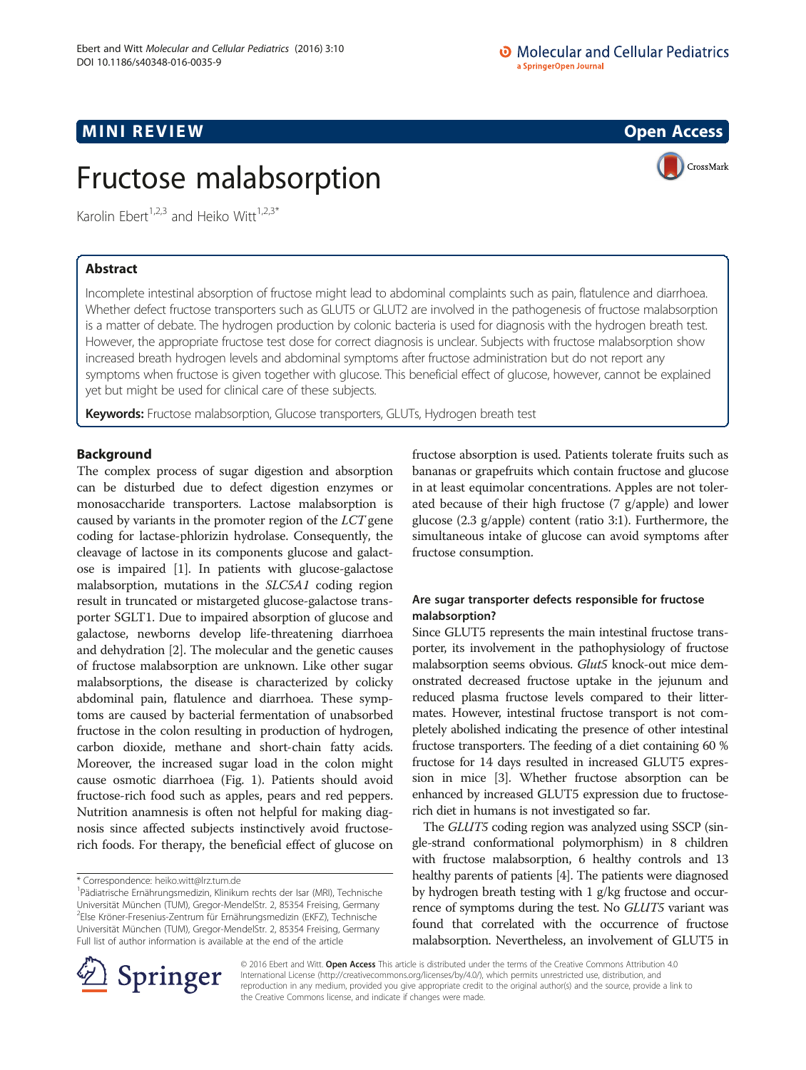## **MINI REVIEW ACCESS OPEN ACCESS**

# Fructose malabsorption



Karolin Ebert<sup>1,2,3</sup> and Heiko Witt<sup>1,2,3\*</sup>

## Abstract

Incomplete intestinal absorption of fructose might lead to abdominal complaints such as pain, flatulence and diarrhoea. Whether defect fructose transporters such as GLUT5 or GLUT2 are involved in the pathogenesis of fructose malabsorption is a matter of debate. The hydrogen production by colonic bacteria is used for diagnosis with the hydrogen breath test. However, the appropriate fructose test dose for correct diagnosis is unclear. Subjects with fructose malabsorption show increased breath hydrogen levels and abdominal symptoms after fructose administration but do not report any symptoms when fructose is given together with glucose. This beneficial effect of glucose, however, cannot be explained yet but might be used for clinical care of these subjects.

Keywords: Fructose malabsorption, Glucose transporters, GLUTs, Hydrogen breath test

## Background

The complex process of sugar digestion and absorption can be disturbed due to defect digestion enzymes or monosaccharide transporters. Lactose malabsorption is caused by variants in the promoter region of the LCT gene coding for lactase-phlorizin hydrolase. Consequently, the cleavage of lactose in its components glucose and galactose is impaired [\[1](#page-4-0)]. In patients with glucose-galactose malabsorption, mutations in the SLC5A1 coding region result in truncated or mistargeted glucose-galactose transporter SGLT1. Due to impaired absorption of glucose and galactose, newborns develop life-threatening diarrhoea and dehydration [[2](#page-4-0)]. The molecular and the genetic causes of fructose malabsorption are unknown. Like other sugar malabsorptions, the disease is characterized by colicky abdominal pain, flatulence and diarrhoea. These symptoms are caused by bacterial fermentation of unabsorbed fructose in the colon resulting in production of hydrogen, carbon dioxide, methane and short-chain fatty acids. Moreover, the increased sugar load in the colon might cause osmotic diarrhoea (Fig. [1](#page-1-0)). Patients should avoid fructose-rich food such as apples, pears and red peppers. Nutrition anamnesis is often not helpful for making diagnosis since affected subjects instinctively avoid fructoserich foods. For therapy, the beneficial effect of glucose on

fructose absorption is used. Patients tolerate fruits such as bananas or grapefruits which contain fructose and glucose in at least equimolar concentrations. Apples are not tolerated because of their high fructose (7 g/apple) and lower glucose (2.3 g/apple) content (ratio 3:1). Furthermore, the simultaneous intake of glucose can avoid symptoms after fructose consumption.

## Are sugar transporter defects responsible for fructose malabsorption?

Since GLUT5 represents the main intestinal fructose transporter, its involvement in the pathophysiology of fructose malabsorption seems obvious. Glut5 knock-out mice demonstrated decreased fructose uptake in the jejunum and reduced plasma fructose levels compared to their littermates. However, intestinal fructose transport is not completely abolished indicating the presence of other intestinal fructose transporters. The feeding of a diet containing 60 % fructose for 14 days resulted in increased GLUT5 expression in mice [\[3\]](#page-4-0). Whether fructose absorption can be enhanced by increased GLUT5 expression due to fructoserich diet in humans is not investigated so far.

The GLUT5 coding region was analyzed using SSCP (single-strand conformational polymorphism) in 8 children with fructose malabsorption, 6 healthy controls and 13 healthy parents of patients [\[4\]](#page-4-0). The patients were diagnosed by hydrogen breath testing with 1 g/kg fructose and occurrence of symptoms during the test. No GLUT5 variant was found that correlated with the occurrence of fructose malabsorption. Nevertheless, an involvement of GLUT5 in



© 2016 Ebert and Witt. Open Access This article is distributed under the terms of the Creative Commons Attribution 4.0 International License ([http://creativecommons.org/licenses/by/4.0/\)](http://creativecommons.org/licenses/by/4.0/), which permits unrestricted use, distribution, and reproduction in any medium, provided you give appropriate credit to the original author(s) and the source, provide a link to the Creative Commons license, and indicate if changes were made.

<sup>\*</sup> Correspondence: [heiko.witt@lrz.tum.de](mailto:heiko.witt@lrz.tum.de) <sup>1</sup>

Pädiatrische Ernährungsmedizin, Klinikum rechts der Isar (MRI), Technische Universität München (TUM), Gregor-MendelStr. 2, 85354 Freising, Germany 2 Else Kröner-Fresenius-Zentrum für Ernährungsmedizin (EKFZ), Technische Universität München (TUM), Gregor-MendelStr. 2, 85354 Freising, Germany Full list of author information is available at the end of the article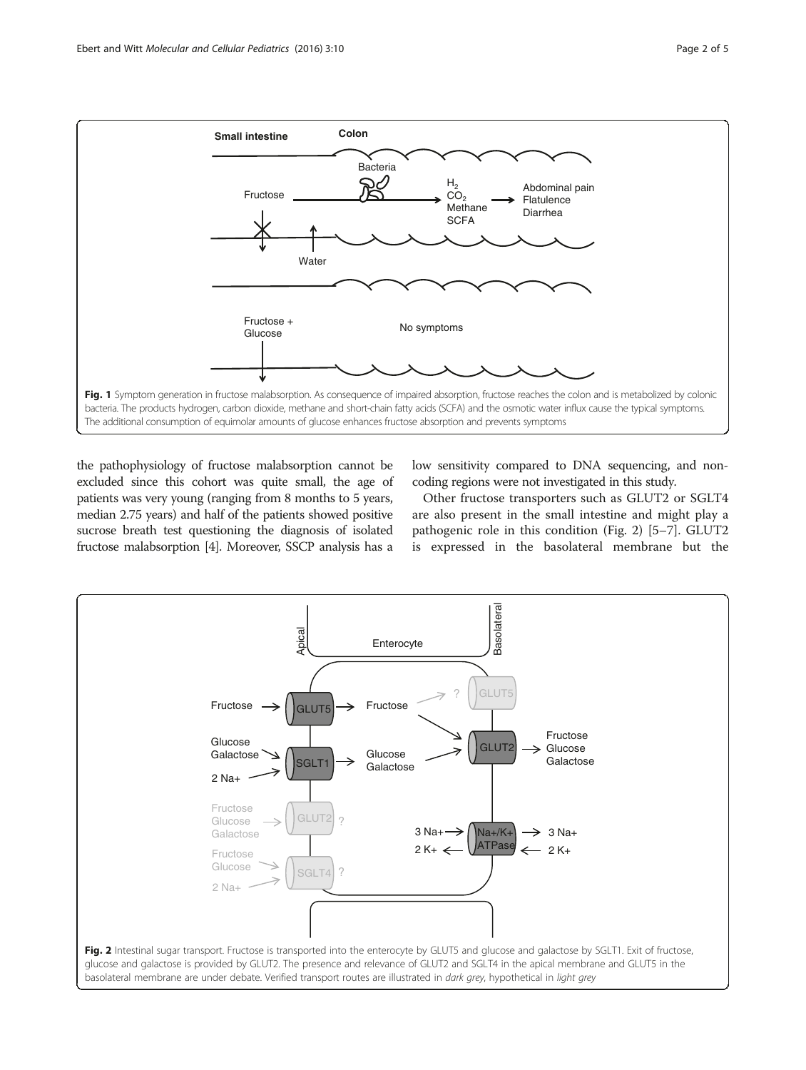<span id="page-1-0"></span>

the pathophysiology of fructose malabsorption cannot be excluded since this cohort was quite small, the age of patients was very young (ranging from 8 months to 5 years, median 2.75 years) and half of the patients showed positive sucrose breath test questioning the diagnosis of isolated fructose malabsorption [\[4](#page-4-0)]. Moreover, SSCP analysis has a

low sensitivity compared to DNA sequencing, and noncoding regions were not investigated in this study.

Other fructose transporters such as GLUT2 or SGLT4 are also present in the small intestine and might play a pathogenic role in this condition (Fig. 2) [\[5](#page-4-0)–[7\]](#page-4-0). GLUT2 is expressed in the basolateral membrane but the

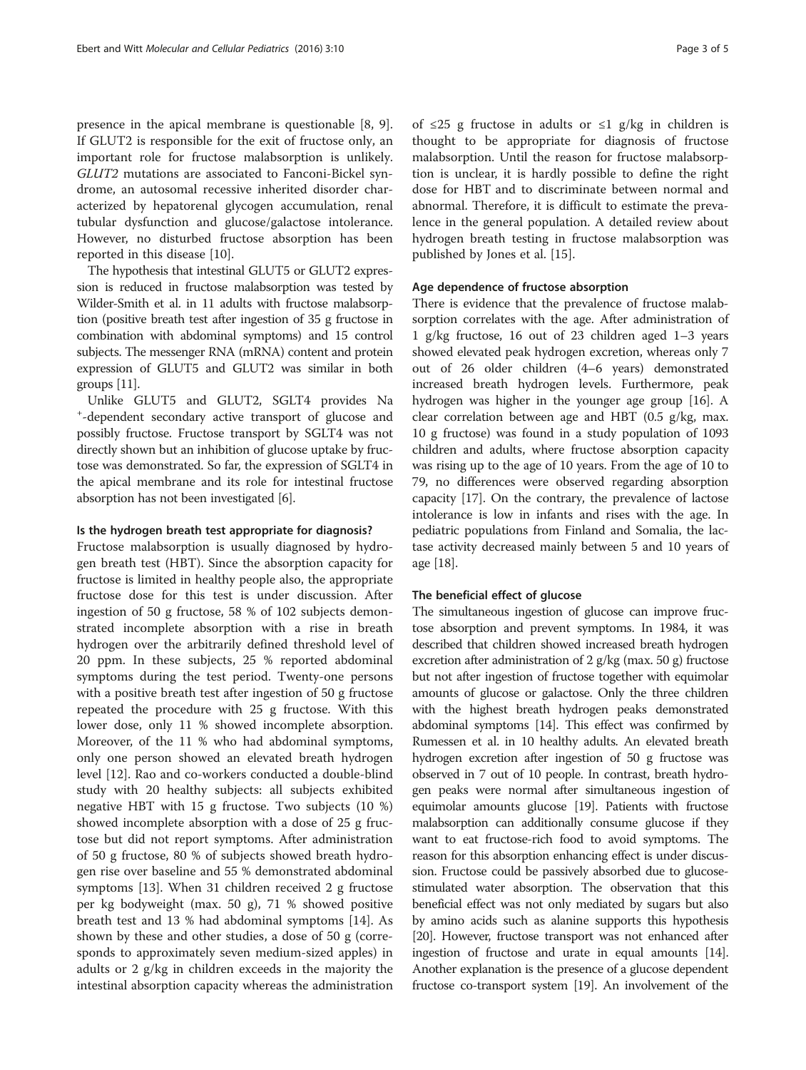presence in the apical membrane is questionable [\[8](#page-4-0), [9](#page-4-0)]. If GLUT2 is responsible for the exit of fructose only, an important role for fructose malabsorption is unlikely. GLUT2 mutations are associated to Fanconi-Bickel syndrome, an autosomal recessive inherited disorder characterized by hepatorenal glycogen accumulation, renal tubular dysfunction and glucose/galactose intolerance. However, no disturbed fructose absorption has been reported in this disease [[10\]](#page-4-0).

The hypothesis that intestinal GLUT5 or GLUT2 expression is reduced in fructose malabsorption was tested by Wilder-Smith et al. in 11 adults with fructose malabsorption (positive breath test after ingestion of 35 g fructose in combination with abdominal symptoms) and 15 control subjects. The messenger RNA (mRNA) content and protein expression of GLUT5 and GLUT2 was similar in both groups [\[11](#page-4-0)].

Unlike GLUT5 and GLUT2, SGLT4 provides Na -dependent secondary active transport of glucose and possibly fructose. Fructose transport by SGLT4 was not directly shown but an inhibition of glucose uptake by fructose was demonstrated. So far, the expression of SGLT4 in the apical membrane and its role for intestinal fructose absorption has not been investigated [\[6](#page-4-0)].

#### Is the hydrogen breath test appropriate for diagnosis?

Fructose malabsorption is usually diagnosed by hydrogen breath test (HBT). Since the absorption capacity for fructose is limited in healthy people also, the appropriate fructose dose for this test is under discussion. After ingestion of 50 g fructose, 58 % of 102 subjects demonstrated incomplete absorption with a rise in breath hydrogen over the arbitrarily defined threshold level of 20 ppm. In these subjects, 25 % reported abdominal symptoms during the test period. Twenty-one persons with a positive breath test after ingestion of 50 g fructose repeated the procedure with 25 g fructose. With this lower dose, only 11 % showed incomplete absorption. Moreover, of the 11 % who had abdominal symptoms, only one person showed an elevated breath hydrogen level [\[12](#page-4-0)]. Rao and co-workers conducted a double-blind study with 20 healthy subjects: all subjects exhibited negative HBT with 15 g fructose. Two subjects (10 %) showed incomplete absorption with a dose of 25 g fructose but did not report symptoms. After administration of 50 g fructose, 80 % of subjects showed breath hydrogen rise over baseline and 55 % demonstrated abdominal symptoms [\[13](#page-4-0)]. When 31 children received 2 g fructose per kg bodyweight (max. 50 g), 71 % showed positive breath test and 13 % had abdominal symptoms [[14\]](#page-4-0). As shown by these and other studies, a dose of 50 g (corresponds to approximately seven medium-sized apples) in adults or 2 g/kg in children exceeds in the majority the intestinal absorption capacity whereas the administration of ≤25 g fructose in adults or ≤1 g/kg in children is thought to be appropriate for diagnosis of fructose malabsorption. Until the reason for fructose malabsorption is unclear, it is hardly possible to define the right dose for HBT and to discriminate between normal and abnormal. Therefore, it is difficult to estimate the prevalence in the general population. A detailed review about hydrogen breath testing in fructose malabsorption was published by Jones et al. [[15\]](#page-4-0).

#### Age dependence of fructose absorption

There is evidence that the prevalence of fructose malabsorption correlates with the age. After administration of 1 g/kg fructose, 16 out of 23 children aged 1–3 years showed elevated peak hydrogen excretion, whereas only 7 out of 26 older children (4–6 years) demonstrated increased breath hydrogen levels. Furthermore, peak hydrogen was higher in the younger age group [\[16\]](#page-4-0). A clear correlation between age and HBT (0.5 g/kg, max. 10 g fructose) was found in a study population of 1093 children and adults, where fructose absorption capacity was rising up to the age of 10 years. From the age of 10 to 79, no differences were observed regarding absorption capacity [\[17\]](#page-4-0). On the contrary, the prevalence of lactose intolerance is low in infants and rises with the age. In pediatric populations from Finland and Somalia, the lactase activity decreased mainly between 5 and 10 years of age [[18](#page-4-0)].

#### The beneficial effect of glucose

The simultaneous ingestion of glucose can improve fructose absorption and prevent symptoms. In 1984, it was described that children showed increased breath hydrogen excretion after administration of 2 g/kg (max. 50 g) fructose but not after ingestion of fructose together with equimolar amounts of glucose or galactose. Only the three children with the highest breath hydrogen peaks demonstrated abdominal symptoms [[14\]](#page-4-0). This effect was confirmed by Rumessen et al. in 10 healthy adults. An elevated breath hydrogen excretion after ingestion of 50 g fructose was observed in 7 out of 10 people. In contrast, breath hydrogen peaks were normal after simultaneous ingestion of equimolar amounts glucose [[19\]](#page-4-0). Patients with fructose malabsorption can additionally consume glucose if they want to eat fructose-rich food to avoid symptoms. The reason for this absorption enhancing effect is under discussion. Fructose could be passively absorbed due to glucosestimulated water absorption. The observation that this beneficial effect was not only mediated by sugars but also by amino acids such as alanine supports this hypothesis [[20](#page-4-0)]. However, fructose transport was not enhanced after ingestion of fructose and urate in equal amounts [\[14](#page-4-0)]. Another explanation is the presence of a glucose dependent fructose co-transport system [\[19](#page-4-0)]. An involvement of the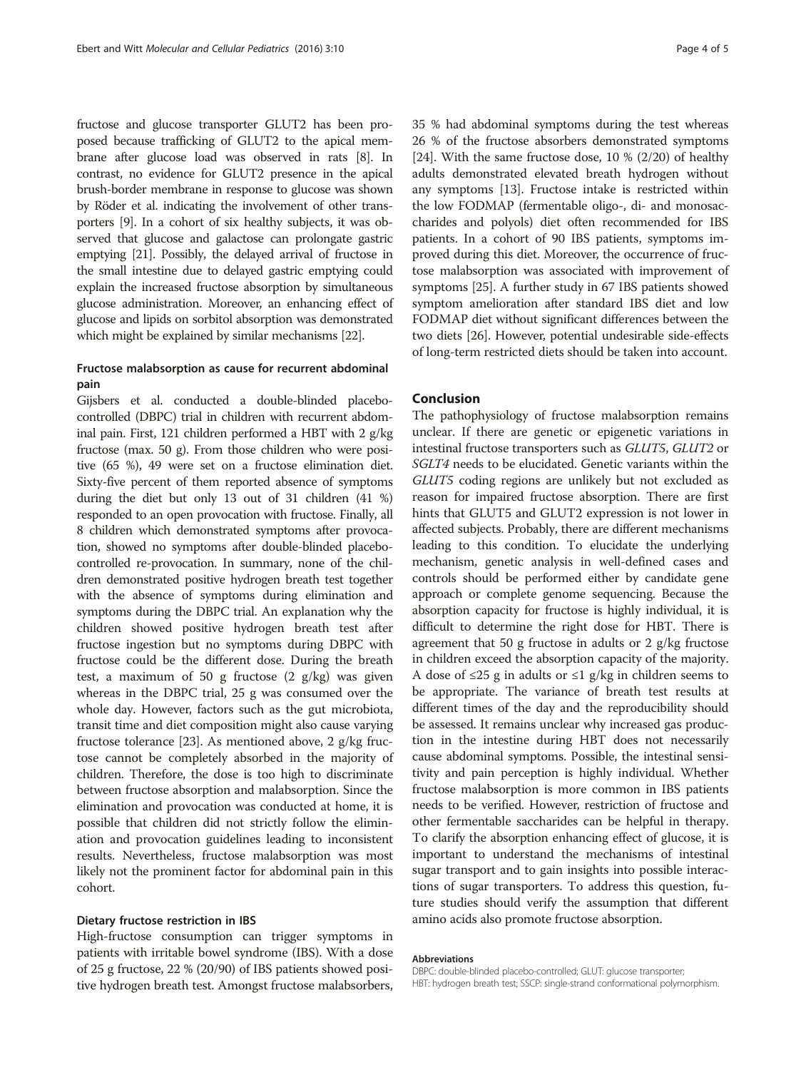fructose and glucose transporter GLUT2 has been proposed because trafficking of GLUT2 to the apical membrane after glucose load was observed in rats [\[8\]](#page-4-0). In contrast, no evidence for GLUT2 presence in the apical brush-border membrane in response to glucose was shown by Röder et al. indicating the involvement of other transporters [\[9\]](#page-4-0). In a cohort of six healthy subjects, it was observed that glucose and galactose can prolongate gastric emptying [\[21\]](#page-4-0). Possibly, the delayed arrival of fructose in the small intestine due to delayed gastric emptying could explain the increased fructose absorption by simultaneous glucose administration. Moreover, an enhancing effect of glucose and lipids on sorbitol absorption was demonstrated which might be explained by similar mechanisms [\[22\]](#page-4-0).

### Fructose malabsorption as cause for recurrent abdominal pain

Gijsbers et al. conducted a double-blinded placebocontrolled (DBPC) trial in children with recurrent abdominal pain. First, 121 children performed a HBT with 2 g/kg fructose (max. 50 g). From those children who were positive (65 %), 49 were set on a fructose elimination diet. Sixty-five percent of them reported absence of symptoms during the diet but only 13 out of 31 children (41 %) responded to an open provocation with fructose. Finally, all 8 children which demonstrated symptoms after provocation, showed no symptoms after double-blinded placebocontrolled re-provocation. In summary, none of the children demonstrated positive hydrogen breath test together with the absence of symptoms during elimination and symptoms during the DBPC trial. An explanation why the children showed positive hydrogen breath test after fructose ingestion but no symptoms during DBPC with fructose could be the different dose. During the breath test, a maximum of 50 g fructose  $(2 \text{ g/kg})$  was given whereas in the DBPC trial, 25 g was consumed over the whole day. However, factors such as the gut microbiota, transit time and diet composition might also cause varying fructose tolerance [\[23\]](#page-4-0). As mentioned above, 2 g/kg fructose cannot be completely absorbed in the majority of children. Therefore, the dose is too high to discriminate between fructose absorption and malabsorption. Since the elimination and provocation was conducted at home, it is possible that children did not strictly follow the elimination and provocation guidelines leading to inconsistent results. Nevertheless, fructose malabsorption was most likely not the prominent factor for abdominal pain in this cohort.

#### Dietary fructose restriction in IBS

High-fructose consumption can trigger symptoms in patients with irritable bowel syndrome (IBS). With a dose of 25 g fructose, 22 % (20/90) of IBS patients showed positive hydrogen breath test. Amongst fructose malabsorbers, 35 % had abdominal symptoms during the test whereas 26 % of the fructose absorbers demonstrated symptoms [[24](#page-4-0)]. With the same fructose dose,  $10\%$  (2/20) of healthy adults demonstrated elevated breath hydrogen without any symptoms [\[13\]](#page-4-0). Fructose intake is restricted within the low FODMAP (fermentable oligo-, di- and monosaccharides and polyols) diet often recommended for IBS patients. In a cohort of 90 IBS patients, symptoms improved during this diet. Moreover, the occurrence of fructose malabsorption was associated with improvement of symptoms [[25](#page-4-0)]. A further study in 67 IBS patients showed symptom amelioration after standard IBS diet and low FODMAP diet without significant differences between the two diets [[26\]](#page-4-0). However, potential undesirable side-effects of long-term restricted diets should be taken into account.

#### Conclusion

The pathophysiology of fructose malabsorption remains unclear. If there are genetic or epigenetic variations in intestinal fructose transporters such as GLUT5, GLUT2 or SGLT4 needs to be elucidated. Genetic variants within the GLUT5 coding regions are unlikely but not excluded as reason for impaired fructose absorption. There are first hints that GLUT5 and GLUT2 expression is not lower in affected subjects. Probably, there are different mechanisms leading to this condition. To elucidate the underlying mechanism, genetic analysis in well-defined cases and controls should be performed either by candidate gene approach or complete genome sequencing. Because the absorption capacity for fructose is highly individual, it is difficult to determine the right dose for HBT. There is agreement that 50 g fructose in adults or 2 g/kg fructose in children exceed the absorption capacity of the majority. A dose of  $\leq$ 25 g in adults or  $\leq$ 1 g/kg in children seems to be appropriate. The variance of breath test results at different times of the day and the reproducibility should be assessed. It remains unclear why increased gas production in the intestine during HBT does not necessarily cause abdominal symptoms. Possible, the intestinal sensitivity and pain perception is highly individual. Whether fructose malabsorption is more common in IBS patients needs to be verified. However, restriction of fructose and other fermentable saccharides can be helpful in therapy. To clarify the absorption enhancing effect of glucose, it is important to understand the mechanisms of intestinal sugar transport and to gain insights into possible interactions of sugar transporters. To address this question, future studies should verify the assumption that different amino acids also promote fructose absorption.

#### Abbreviations

DBPC: double-blinded placebo-controlled; GLUT: glucose transporter; HBT: hydrogen breath test; SSCP: single-strand conformational polymorphism.